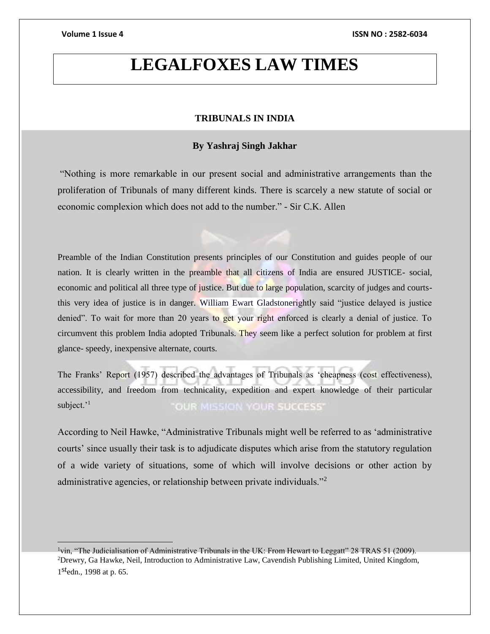$\overline{a}$ 

# **LEGALFOXES LAW TIMES**

# **TRIBUNALS IN INDIA**

# **By Yashraj Singh Jakhar**

"Nothing is more remarkable in our present social and administrative arrangements than the proliferation of Tribunals of many different kinds. There is scarcely a new statute of social or economic complexion which does not add to the number." - Sir C.K. Allen

Preamble of the Indian Constitution presents principles of our Constitution and guides people of our nation. It is clearly written in the preamble that all citizens of India are ensured JUSTICE- social, economic and political all three type of justice. But due to large population, scarcity of judges and courtsthis very idea of justice is in danger. William Ewart Gladstonerightly said "justice delayed is justice denied". To wait for more than 20 years to get your right enforced is clearly a denial of justice. To circumvent this problem India adopted Tribunals. They seem like a perfect solution for problem at first glance- speedy, inexpensive alternate, courts.

The Franks' Report (1957) described the advantages of Tribunals as 'cheapness (cost effectiveness), accessibility, and freedom from technicality, expedition and expert knowledge of their particular subject.'<sup>1</sup> "OUR MISSION YOUR SUCCESS"

According to Neil Hawke, "Administrative Tribunals might well be referred to as 'administrative courts' since usually their task is to adjudicate disputes which arise from the statutory regulation of a wide variety of situations, some of which will involve decisions or other action by administrative agencies, or relationship between private individuals."<sup>2</sup>

 $1$ vin, "The Judicialisation of Administrative Tribunals in the UK: From Hewart to Leggatt" 28 TRAS 51 (2009). <sup>2</sup>Drewry, Ga Hawke, Neil, Introduction to Administrative Law, Cavendish Publishing Limited, United Kingdom, 1<sup>st</sup>edn., 1998 at p. 65.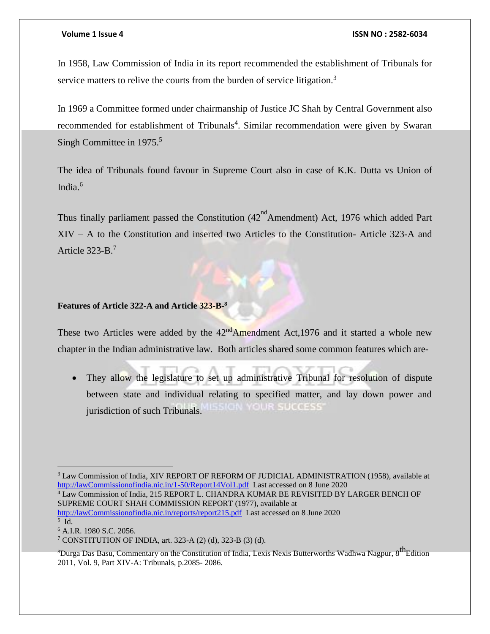In 1958, Law Commission of India in its report recommended the establishment of Tribunals for service matters to relive the courts from the burden of service litigation.<sup>3</sup>

In 1969 a Committee formed under chairmanship of Justice JC Shah by Central Government also recommended for establishment of Tribunals<sup>4</sup>. Similar recommendation were given by Swaran Singh Committee in  $1975$ <sup>5</sup>

The idea of Tribunals found favour in Supreme Court also in case of K.K. Dutta vs Union of India. 6

Thus finally parliament passed the Constitution  $(42<sup>nd</sup> A$ mendment) Act, 1976 which added Part XIV – A to the Constitution and inserted two Articles to the Constitution- Article 323-A and Article 323-B.<sup>7</sup>

# **Features of Article 322-A and Article 323-B-8**

These two Articles were added by the  $42<sup>nd</sup>$ Amendment Act, 1976 and it started a whole new chapter in the Indian administrative law. Both articles shared some common features which are-

• They allow the legislature to set up administrative Tribunal for resolution of dispute between state and individual relating to specified matter, and lay down power and **GRU YOUR SUCCESS** jurisdiction of such Tribunals.

<sup>4</sup> Law Commission of India, 215 REPORT L. CHANDRA KUMAR BE REVISITED BY LARGER BENCH OF SUPREME COURT SHAH COMMISSION REPORT (1977), available at

[http://lawCommissionofindia.nic.in/reports/report215.pdf](http://lawcommissionofindia.nic.in/reports/report215.pdf) Last accessed on 8 June 2020 5 Id.

<sup>6</sup> A.I.R. 1980 S.C. 2056.

 $\overline{a}$ 

<sup>&</sup>lt;sup>3</sup> Law Commission of India, XIV REPORT OF REFORM OF JUDICIAL ADMINISTRATION (1958), available at [http://lawCommissionofindia.nic.in/1-50/Report14Vol1.pdf](http://lawcommissionofindia.nic.in/1-50/Report14Vol1.pdf) Last accessed on 8 June 2020

<sup>7</sup> CONSTITUTION OF INDIA, art. 323-A (2) (d), 323-B (3) (d).

<sup>&</sup>lt;sup>8</sup>Durga Das Basu, Commentary on the Constitution of India, Lexis Nexis Butterworths Wadhwa Nagpur, 8<sup>th</sup>Edition 2011, Vol. 9, Part XIV-A: Tribunals, p.2085- 2086.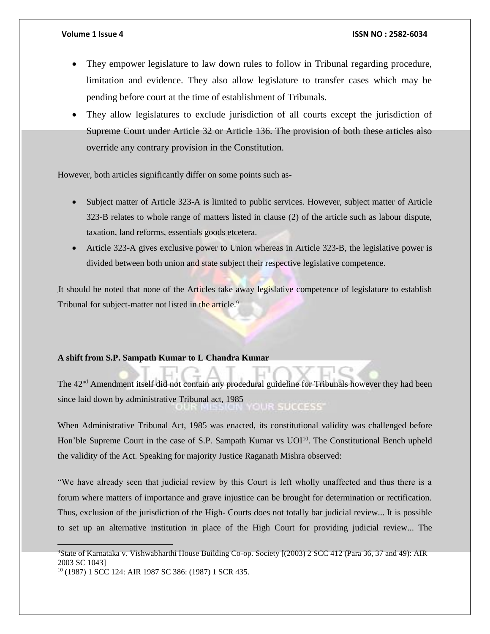- They empower legislature to law down rules to follow in Tribunal regarding procedure, limitation and evidence. They also allow legislature to transfer cases which may be pending before court at the time of establishment of Tribunals.
- They allow legislatures to exclude jurisdiction of all courts except the jurisdiction of Supreme Court under Article 32 or Article 136. The provision of both these articles also override any contrary provision in the Constitution.

However, both articles significantly differ on some points such as-

- Subject matter of Article 323-A is limited to public services. However, subject matter of Article 323-B relates to whole range of matters listed in clause (2) of the article such as labour dispute, taxation, land reforms, essentials goods etcetera.
- Article 323-A gives exclusive power to Union whereas in Article 323-B, the legislative power is divided between both union and state subject their respective legislative competence.

It should be noted that none of the Articles take away legislative competence of legislature to establish Tribunal for subject-matter not listed in the article.<sup>9</sup>

# **A shift from S.P. Sampath Kumar to L Chandra Kumar**

The 42nd Amendment itself did not contain any procedural guideline for Tribunals however they had been since laid down by administrative Tribunal act, 1985 **OUR SUCCESS** 

When Administrative Tribunal Act, 1985 was enacted, its constitutional validity was challenged before Hon'ble Supreme Court in the case of S.P. Sampath Kumar vs UOI<sup>10</sup>. The Constitutional Bench upheld the validity of the Act. Speaking for majority Justice Raganath Mishra observed:

"We have already seen that judicial review by this Court is left wholly unaffected and thus there is a forum where matters of importance and grave injustice can be brought for determination or rectification. Thus, exclusion of the jurisdiction of the High- Courts does not totally bar judicial review... It is possible to set up an alternative institution in place of the High Court for providing judicial review... The

 $\overline{a}$ 

<sup>9</sup>State of Karnataka v. Vishwabharthi House Building Co-op. Society [(2003) 2 SCC 412 (Para 36, 37 and 49): AIR 2003 SC 1043]

<sup>10</sup> (1987) 1 SCC 124: AIR 1987 SC 386: (1987) 1 SCR 435.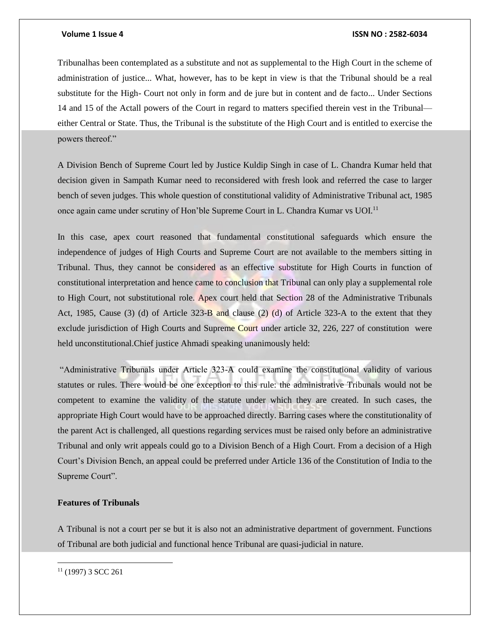Tribunalhas been contemplated as a substitute and not as supplemental to the High Court in the scheme of administration of justice... What, however, has to be kept in view is that the Tribunal should be a real substitute for the High- Court not only in form and de jure but in content and de facto... Under Sections 14 and 15 of the Actall powers of the Court in regard to matters specified therein vest in the Tribunal either Central or State. Thus, the Tribunal is the substitute of the High Court and is entitled to exercise the powers thereof."

A Division Bench of Supreme Court led by Justice Kuldip Singh in case of L. Chandra Kumar held that decision given in Sampath Kumar need to reconsidered with fresh look and referred the case to larger bench of seven judges. This whole question of constitutional validity of Administrative Tribunal act, 1985 once again came under scrutiny of Hon'ble Supreme Court in L. Chandra Kumar vs UOI.<sup>11</sup>

In this case, apex court reasoned that fundamental constitutional safeguards which ensure the independence of judges of High Courts and Supreme Court are not available to the members sitting in Tribunal. Thus, they cannot be considered as an effective substitute for High Courts in function of constitutional interpretation and hence came to conclusion that Tribunal can only play a supplemental role to High Court, not substitutional role. Apex court held that Section 28 of the Administrative Tribunals Act, 1985, Cause (3) (d) of Article 323-B and clause (2) (d) of Article 323-A to the extent that they exclude jurisdiction of High Courts and Supreme Court under article 32, 226, 227 of constitution were held unconstitutional.Chief justice Ahmadi speaking unanimously held:

"Administrative Tribunals under Article 323-A could examine the constitutional validity of various statutes or rules. There would be one exception to this rule: the administrative Tribunals would not be competent to examine the validity of the statute under which they are created. In such cases, the appropriate High Court would have to be approached directly. Barring cases where the constitutionality of the parent Act is challenged, all questions regarding services must be raised only before an administrative Tribunal and only writ appeals could go to a Division Bench of a High Court. From a decision of a High Court's Division Bench, an appeal could be preferred under Article 136 of the Constitution of India to the Supreme Court".

## **Features of Tribunals**

A Tribunal is not a court per se but it is also not an administrative department of government. Functions of Tribunal are both judicial and functional hence Tribunal are quasi-judicial in nature.

 $\overline{\phantom{a}}$ 

 $11$  (1997) 3 SCC 261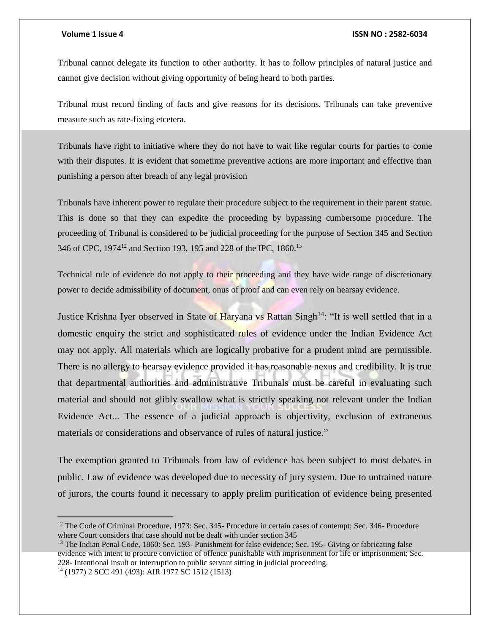Tribunal cannot delegate its function to other authority. It has to follow principles of natural justice and cannot give decision without giving opportunity of being heard to both parties.

Tribunal must record finding of facts and give reasons for its decisions. Tribunals can take preventive measure such as rate-fixing etcetera.

Tribunals have right to initiative where they do not have to wait like regular courts for parties to come with their disputes. It is evident that sometime preventive actions are more important and effective than punishing a person after breach of any legal provision

Tribunals have inherent power to regulate their procedure subject to the requirement in their parent statue. This is done so that they can expedite the proceeding by bypassing cumbersome procedure. The proceeding of Tribunal is considered to be judicial proceeding for the purpose of Section 345 and Section 346 of CPC, 1974<sup>12</sup> and Section 193, 195 and 228 of the IPC, 1860.<sup>13</sup>

Technical rule of evidence do not apply to their proceeding and they have wide range of discretionary power to decide admissibility of document, onus of proof and can even rely on hearsay evidence.

Justice Krishna Iyer observed in State of Haryana vs Rattan Singh<sup>14</sup>: "It is well settled that in a domestic enquiry the strict and sophisticated rules of evidence under the Indian Evidence Act may not apply. All materials which are logically probative for a prudent mind are permissible. There is no allergy to hearsay evidence provided it has reasonable nexus and credibility. It is true that departmental authorities and administrative Tribunals must be careful in evaluating such material and should not glibly swallow what is strictly speaking not relevant under the Indian Evidence Act... The essence of a judicial approach is objectivity, exclusion of extraneous materials or considerations and observance of rules of natural justice."

The exemption granted to Tribunals from law of evidence has been subject to most debates in public. Law of evidence was developed due to necessity of jury system. Due to untrained nature of jurors, the courts found it necessary to apply prelim purification of evidence being presented

 $\overline{a}$ 

<sup>&</sup>lt;sup>12</sup> The Code of Criminal Procedure, 1973: Sec. 345- Procedure in certain cases of contempt; Sec. 346- Procedure where Court considers that case should not be dealt with under section 345

<sup>&</sup>lt;sup>13</sup> The Indian Penal Code, 1860: Sec. 193- Punishment for false evidence; Sec. 195- Giving or fabricating false evidence with intent to procure conviction of offence punishable with imprisonment for life or imprisonment; Sec. 228- Intentional insult or interruption to public servant sitting in judicial proceeding.

<sup>14</sup> (1977) 2 SCC 491 (493): AIR 1977 SC 1512 (1513)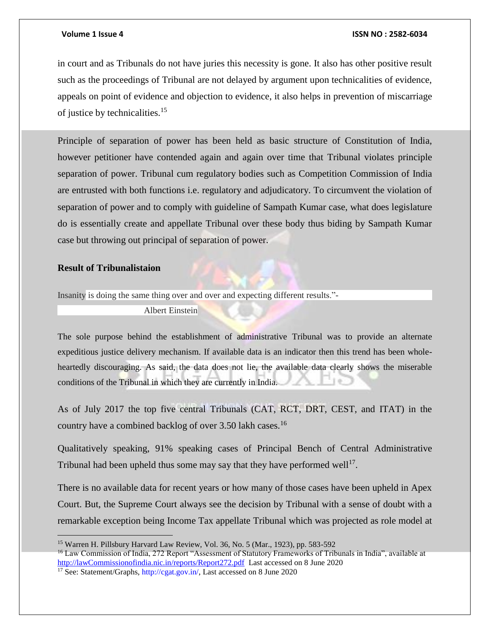in court and as Tribunals do not have juries this necessity is gone. It also has other positive result such as the proceedings of Tribunal are not delayed by argument upon technicalities of evidence, appeals on point of evidence and objection to evidence, it also helps in prevention of miscarriage of justice by technicalities.<sup>15</sup>

Principle of separation of power has been held as basic structure of Constitution of India, however petitioner have contended again and again over time that Tribunal violates principle separation of power. Tribunal cum regulatory bodies such as Competition Commission of India are entrusted with both functions i.e. regulatory and adjudicatory. To circumvent the violation of separation of power and to comply with guideline of Sampath Kumar case, what does legislature do is essentially create and appellate Tribunal over these body thus biding by Sampath Kumar case but throwing out principal of separation of power.

# **Result of Tribunalistaion**

Insanity is doing the same thing over and over and expecting different results."-

Albert Einstein

The sole purpose behind the establishment of administrative Tribunal was to provide an alternate expeditious justice delivery mechanism. If available data is an indicator then this trend has been wholeheartedly discouraging. As said, the data does not lie, the available data clearly shows the miserable conditions of the Tribunal in which they are currently in India.

As of July 2017 the top five central Tribunals (CAT, RCT, DRT, CEST, and ITAT) in the country have a combined backlog of over 3.50 lakh cases.<sup>16</sup>

Qualitatively speaking, 91% speaking cases of Principal Bench of Central Administrative Tribunal had been upheld thus some may say that they have performed well<sup>17</sup>.

There is no available data for recent years or how many of those cases have been upheld in Apex Court. But, the Supreme Court always see the decision by Tribunal with a sense of doubt with a remarkable exception being Income Tax appellate Tribunal which was projected as role model at

<sup>15</sup> Warren H. Pillsbury Harvard Law Review, Vol. 36, No. 5 (Mar., 1923), pp. 583-592

<sup>&</sup>lt;sup>16</sup> Law Commission of India, 272 Report "Assessment of Statutory Frameworks of Tribunals in India", available at [http://lawCommissionofindia.nic.in/reports/Report272.pdf](http://lawcommissionofindia.nic.in/reports/Report272.pdf) Last accessed on 8 June 2020

<sup>&</sup>lt;sup>17</sup> See: Statement/Graphs, http://cgat.gov.in/, Last accessed on 8 June 2020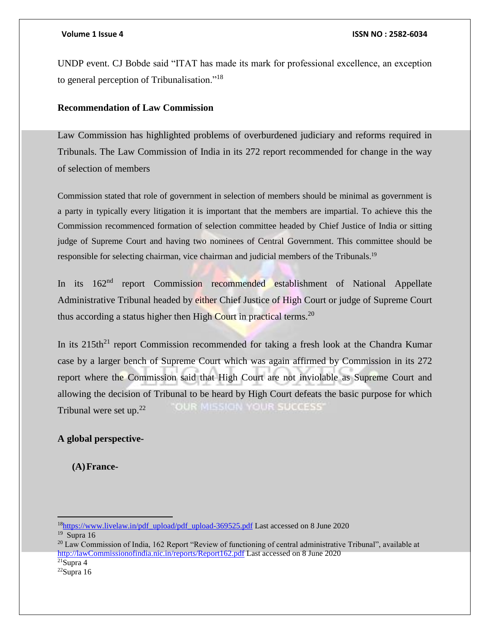UNDP event. CJ Bobde said "ITAT has made its mark for professional excellence, an exception to general perception of Tribunalisation."<sup>18</sup>

# **Recommendation of Law Commission**

Law Commission has highlighted problems of overburdened judiciary and reforms required in Tribunals. The Law Commission of India in its 272 report recommended for change in the way of selection of members

Commission stated that role of government in selection of members should be minimal as government is a party in typically every litigation it is important that the members are impartial. To achieve this the Commission recommenced formation of selection committee headed by Chief Justice of India or sitting judge of Supreme Court and having two nominees of Central Government. This committee should be responsible for selecting chairman, vice chairman and judicial members of the Tribunals.<sup>19</sup>

In its 162<sup>nd</sup> report Commission recommended establishment of National Appellate Administrative Tribunal headed by either Chief Justice of High Court or judge of Supreme Court thus according a status higher then High Court in practical terms.<sup>20</sup>

In its  $215th<sup>21</sup>$  report Commission recommended for taking a fresh look at the Chandra Kumar case by a larger bench of Supreme Court which was again affirmed by Commission in its 272 report where the Commission said that High Court are not inviolable as Supreme Court and allowing the decision of Tribunal to be heard by High Court defeats the basic purpose for which **OUR MISSION YOUR SUCCESS'** Tribunal were set up. $22$ 

# **A global perspective-**

**(A)France-**

 $19$  Supra 16

 $\overline{a}$ 

 $21$ Supra 4

<sup>&</sup>lt;sup>18</sup>[https://www.livelaw.in/pdf\\_upload/pdf\\_upload-369525.pdf](https://www.livelaw.in/pdf_upload/pdf_upload-369525.pdf) Last accessed on 8 June 2020

<sup>&</sup>lt;sup>20</sup> Law Commission of India, 162 Report "Review of functioning of central administrative Tribunal", available at [http://lawCommissionofindia.nic.in/reports/Report162.pdf](http://lawcommissionofindia.nic.in/reports/Report162.pdf) Last accessed on 8 June 2020

 $22$ Supra 16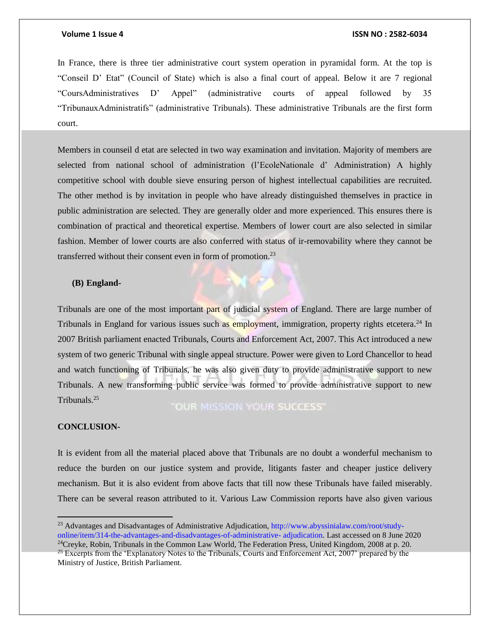In France, there is three tier administrative court system operation in pyramidal form. At the top is "Conseil D' Etat" (Council of State) which is also a final court of appeal. Below it are 7 regional "CoursAdministratives D' Appel" (administrative courts of appeal followed by 35 "TribunauxAdministratifs" (administrative Tribunals). These administrative Tribunals are the first form court.

Members in counseil d etat are selected in two way examination and invitation. Majority of members are selected from national school of administration (l'EcoleNationale d' Administration) A highly competitive school with double sieve ensuring person of highest intellectual capabilities are recruited. The other method is by invitation in people who have already distinguished themselves in practice in public administration are selected. They are generally older and more experienced. This ensures there is combination of practical and theoretical expertise. Members of lower court are also selected in similar fashion. Member of lower courts are also conferred with status of ir-removability where they cannot be transferred without their consent even in form of promotion.<sup>23</sup>

### **(B) England-**

Tribunals are one of the most important part of judicial system of England. There are large number of Tribunals in England for various issues such as employment, immigration, property rights etcetera.<sup>24</sup> In 2007 British parliament enacted Tribunals, Courts and Enforcement Act, 2007. This Act introduced a new system of two generic Tribunal with single appeal structure. Power were given to Lord Chancellor to head and watch functioning of Tribunals, he was also given duty to provide administrative support to new Tribunals. A new transforming public service was formed to provide administrative support to new Tribunals.<sup>25</sup>

"OUR MISSION YOUR SUCCESS"

### **CONCLUSION-**

 $\overline{a}$ 

It is evident from all the material placed above that Tribunals are no doubt a wonderful mechanism to reduce the burden on our justice system and provide, litigants faster and cheaper justice delivery mechanism. But it is also evident from above facts that till now these Tribunals have failed miserably. There can be several reason attributed to it. Various Law Commission reports have also given various

<sup>&</sup>lt;sup>23</sup> Advantages and Disadvantages of Administrative Adjudication, http://www.abyssinialaw.com/root/studyonline/item/314-the-advantages-and-disadvantages-of-administrative- adjudication. Last accessed on 8 June 2020  $24$ Creyke, Robin, Tribunals in the Common Law World, The Federation Press, United Kingdom, 2008 at p. 20.

<sup>&</sup>lt;sup>25</sup> Excerpts from the 'Explanatory Notes to the Tribunals, Courts and Enforcement Act, 2007' prepared by the Ministry of Justice, British Parliament.